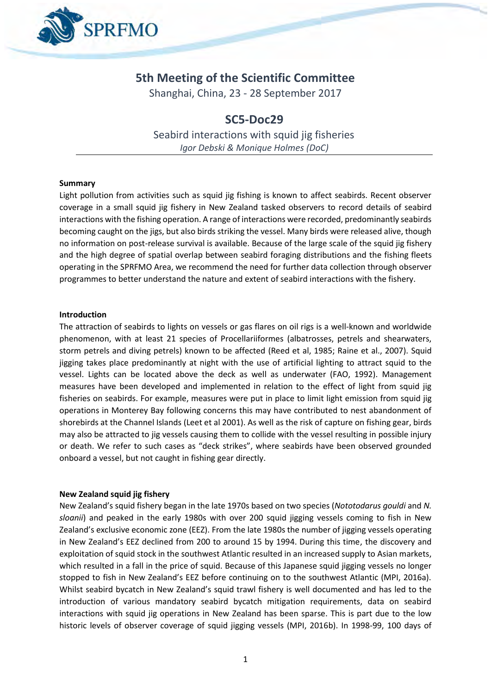

# **5th Meeting of the Scientific Committee**

Shanghai, China, 23 - 28 September 2017

## **SC5-Doc29**

Seabird interactions with squid jig fisheries *Igor Debski & Monique Holmes (DoC)*

#### **Summary**

Light pollution from activities such as squid jig fishing is known to affect seabirds. Recent observer coverage in a small squid jig fishery in New Zealand tasked observers to record details of seabird interactions with the fishing operation. A range of interactions were recorded, predominantly seabirds becoming caught on the jigs, but also birds striking the vessel. Many birds were released alive, though no information on post-release survival is available. Because of the large scale of the squid jig fishery and the high degree of spatial overlap between seabird foraging distributions and the fishing fleets operating in the SPRFMO Area, we recommend the need for further data collection through observer programmes to better understand the nature and extent of seabird interactions with the fishery.

#### **Introduction**

The attraction of seabirds to lights on vessels or gas flares on oil rigs is a well-known and worldwide phenomenon, with at least 21 species of Procellariiformes (albatrosses, petrels and shearwaters, storm petrels and diving petrels) known to be affected (Reed et al, 1985; Raine et al., 2007). Squid jigging takes place predominantly at night with the use of artificial lighting to attract squid to the vessel. Lights can be located above the deck as well as underwater (FAO, 1992). Management measures have been developed and implemented in relation to the effect of light from squid jig fisheries on seabirds. For example, measures were put in place to limit light emission from squid jig operations in Monterey Bay following concerns this may have contributed to nest abandonment of shorebirds at the Channel Islands (Leet et al 2001). As well as the risk of capture on fishing gear, birds may also be attracted to jig vessels causing them to collide with the vessel resulting in possible injury or death. We refer to such cases as "deck strikes", where seabirds have been observed grounded onboard a vessel, but not caught in fishing gear directly.

#### **New Zealand squid jig fishery**

New Zealand's squid fishery began in the late 1970s based on two species (*Nototodarus gouldi* and *N. sloanii*) and peaked in the early 1980s with over 200 squid jigging vessels coming to fish in New Zealand's exclusive economic zone (EEZ). From the late 1980s the number of jigging vessels operating in New Zealand's EEZ declined from 200 to around 15 by 1994. During this time, the discovery and exploitation of squid stock in the southwest Atlantic resulted in an increased supply to Asian markets, which resulted in a fall in the price of squid. Because of this Japanese squid jigging vessels no longer stopped to fish in New Zealand's EEZ before continuing on to the southwest Atlantic (MPI, 2016a). Whilst seabird bycatch in New Zealand's squid trawl fishery is well documented and has led to the introduction of various mandatory seabird bycatch mitigation requirements, data on seabird interactions with squid jig operations in New Zealand has been sparse. This is part due to the low historic levels of observer coverage of squid jigging vessels (MPI, 2016b). In 1998-99, 100 days of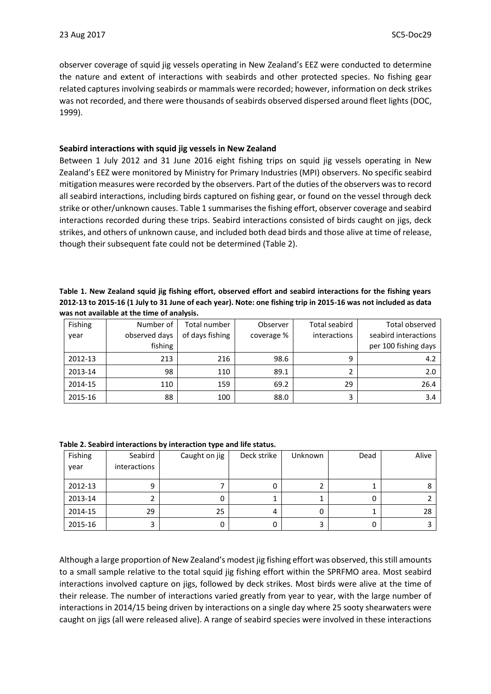observer coverage of squid jig vessels operating in New Zealand's EEZ were conducted to determine the nature and extent of interactions with seabirds and other protected species. No fishing gear related captures involving seabirds or mammals were recorded; however, information on deck strikes was not recorded, and there were thousands of seabirds observed dispersed around fleet lights (DOC, 1999).

#### **Seabird interactions with squid jig vessels in New Zealand**

Between 1 July 2012 and 31 June 2016 eight fishing trips on squid jig vessels operating in New Zealand's EEZ were monitored by Ministry for Primary Industries (MPI) observers. No specific seabird mitigation measures were recorded by the observers. Part of the duties of the observers was to record all seabird interactions, including birds captured on fishing gear, or found on the vessel through deck strike or other/unknown causes. Table 1 summarises the fishing effort, observer coverage and seabird interactions recorded during these trips. Seabird interactions consisted of birds caught on jigs, deck strikes, and others of unknown cause, and included both dead birds and those alive at time of release, though their subsequent fate could not be determined (Table 2).

### **Table 1. New Zealand squid jig fishing effort, observed effort and seabird interactions for the fishing years 2012-13 to 2015-16 (1 July to 31 June of each year). Note: one fishing trip in 2015-16 was not included as data was not available at the time of analysis.**

| Fishing | Number of     | Total number    | Observer   | <b>Total seabird</b> | <b>Total observed</b> |
|---------|---------------|-----------------|------------|----------------------|-----------------------|
| year    | observed days | of days fishing | coverage % | interactions         | seabird interactions  |
|         | fishing       |                 |            |                      | per 100 fishing days  |
| 2012-13 | 213           | 216             | 98.6       | 9                    | 4.2                   |
| 2013-14 | 98            | 110             | 89.1       |                      | 2.0                   |
| 2014-15 | 110           | 159             | 69.2       | 29                   | 26.4                  |
| 2015-16 | 88            | 100             | 88.0       |                      | 3.4                   |

| Fishing<br>year | Seabird<br><i>interactions</i> | Caught on jig | Deck strike | Unknown | Dead | Alive |
|-----------------|--------------------------------|---------------|-------------|---------|------|-------|
| 2012-13         | 9                              |               | Ü           |         |      |       |
| 2013-14         |                                | 0             |             |         |      |       |
| 2014-15         | 29                             | 25            |             | U       |      | 28    |
| 2015-16         | 3                              | 0             |             |         |      |       |

**Table 2. Seabird interactions by interaction type and life status.**

Although a large proportion of New Zealand's modest jig fishing effort was observed, this still amounts to a small sample relative to the total squid jig fishing effort within the SPRFMO area. Most seabird interactions involved capture on jigs, followed by deck strikes. Most birds were alive at the time of their release. The number of interactions varied greatly from year to year, with the large number of interactions in 2014/15 being driven by interactions on a single day where 25 sooty shearwaters were caught on jigs (all were released alive). A range of seabird species were involved in these interactions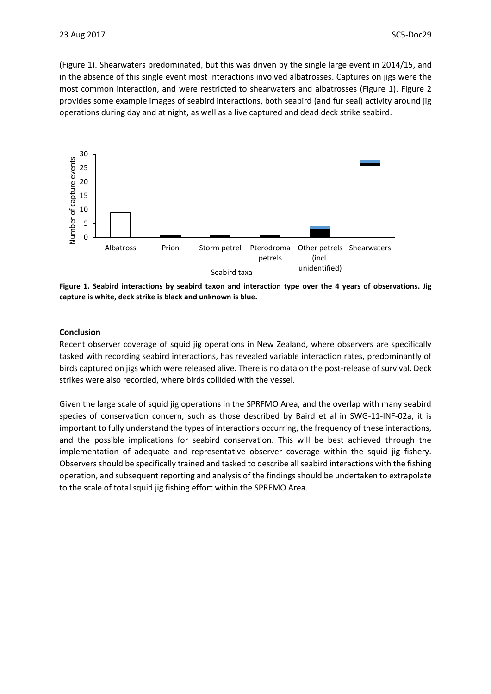(Figure 1). Shearwaters predominated, but this was driven by the single large event in 2014/15, and in the absence of this single event most interactions involved albatrosses. Captures on jigs were the most common interaction, and were restricted to shearwaters and albatrosses (Figure 1). Figure 2 provides some example images of seabird interactions, both seabird (and fur seal) activity around jig operations during day and at night, as well as a live captured and dead deck strike seabird.



**Figure 1. Seabird interactions by seabird taxon and interaction type over the 4 years of observations. Jig capture is white, deck strike is black and unknown is blue.**

#### **Conclusion**

Recent observer coverage of squid jig operations in New Zealand, where observers are specifically tasked with recording seabird interactions, has revealed variable interaction rates, predominantly of birds captured on jigs which were released alive. There is no data on the post-release of survival. Deck strikes were also recorded, where birds collided with the vessel.

Given the large scale of squid jig operations in the SPRFMO Area, and the overlap with many seabird species of conservation concern, such as those described by Baird et al in SWG-11-INF-02a, it is important to fully understand the types of interactions occurring, the frequency of these interactions, and the possible implications for seabird conservation. This will be best achieved through the implementation of adequate and representative observer coverage within the squid jig fishery. Observers should be specifically trained and tasked to describe all seabird interactions with the fishing operation, and subsequent reporting and analysis of the findings should be undertaken to extrapolate to the scale of total squid jig fishing effort within the SPRFMO Area.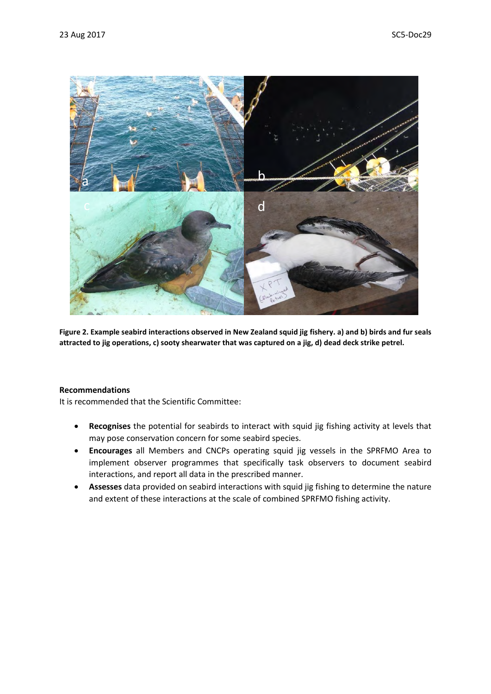

**Figure 2. Example seabird interactions observed in New Zealand squid jig fishery. a) and b) birds and fur seals attracted to jig operations, c) sooty shearwater that was captured on a jig, d) dead deck strike petrel.**

#### **Recommendations**

It is recommended that the Scientific Committee:

- **Recognises** the potential for seabirds to interact with squid jig fishing activity at levels that may pose conservation concern for some seabird species.
- **Encourages** all Members and CNCPs operating squid jig vessels in the SPRFMO Area to implement observer programmes that specifically task observers to document seabird interactions, and report all data in the prescribed manner.
- **Assesses** data provided on seabird interactions with squid jig fishing to determine the nature and extent of these interactions at the scale of combined SPRFMO fishing activity.